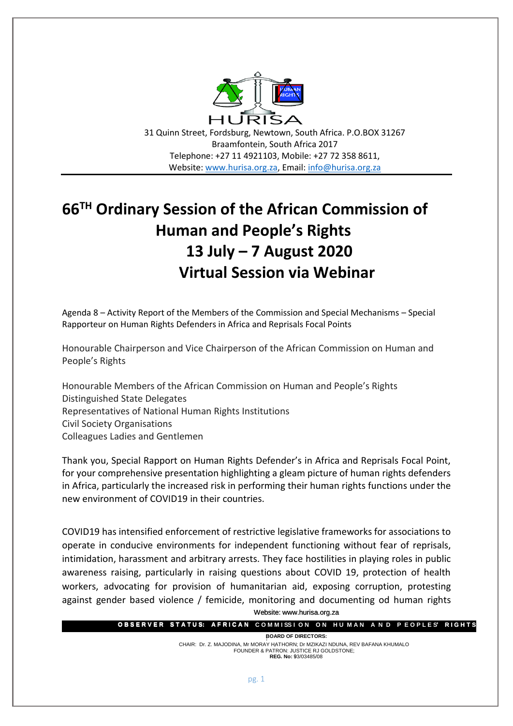

31 Quinn Street, Fordsburg, Newtown, South Africa. P.O.BOX 31267 Braamfontein, South Africa 2017 Telephone: +27 11 4921103, Mobile: +27 72 358 8611, Website: [www.hurisa.org.za,](http://www.hurisa.org.za/) Email: [info@hurisa.org.za](mailto:info@hurisa.org.za)

## **66TH Ordinary Session of the African Commission of Human and People's Rights 13 July – 7 August 2020 Virtual Session via Webinar**

Agenda 8 – Activity Report of the Members of the Commission and Special Mechanisms – Special Rapporteur on Human Rights Defenders in Africa and Reprisals Focal Points

Honourable Chairperson and Vice Chairperson of the African Commission on Human and People's Rights

Honourable Members of the African Commission on Human and People's Rights Distinguished State Delegates Representatives of National Human Rights Institutions Civil Society Organisations Colleagues Ladies and Gentlemen

Thank you, Special Rapport on Human Rights Defender's in Africa and Reprisals Focal Point, for your comprehensive presentation highlighting a gleam picture of human rights defenders in Africa, particularly the increased risk in performing their human rights functions under the new environment of COVID19 in their countries.

Website: www.hurisa.org.za COVID19 has intensified enforcement of restrictive legislative frameworks for associations to operate in conducive environments for independent functioning without fear of reprisals, intimidation, harassment and arbitrary arrests. They face hostilities in playing roles in public awareness raising, particularly in raising questions about COVID 19, protection of health workers, advocating for provision of humanitarian aid, exposing corruption, protesting against gender based violence / femicide, monitoring and documenting od human rights

|  | <b>OBSERVER STATUS: AFRICAN</b> COMMISSION ON HUMAN AND PEOPLES' RIGHTS |  |  |  |
|--|-------------------------------------------------------------------------|--|--|--|

**: BOARD OF DIRECTORS:** CHAIR: Dr. Z. MAJODINA, Mr MORAY HATHORN; Dr MZIKAZI NDUNA, REV BAFANA KHUMALO . FOUNDER & PATRON: JUSTICE RJ GOLDSTONE; **REG. No:** 93/03485/08 9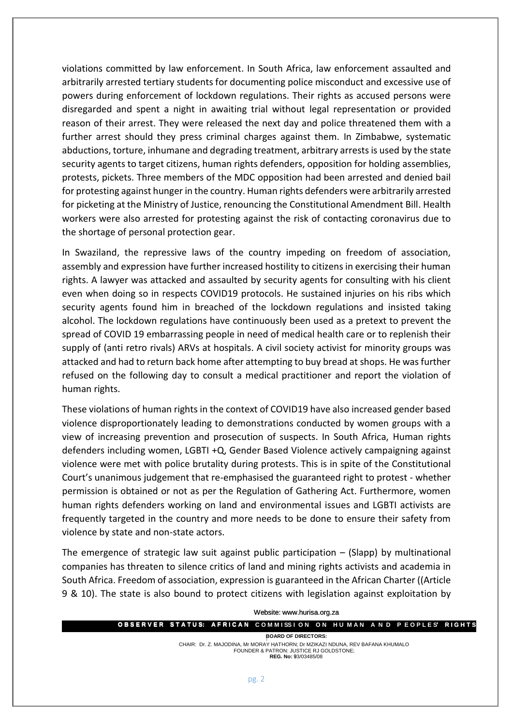violations committed by law enforcement. In South Africa, law enforcement assaulted and arbitrarily arrested tertiary students for documenting police misconduct and excessive use of powers during enforcement of lockdown regulations. Their rights as accused persons were disregarded and spent a night in awaiting trial without legal representation or provided reason of their arrest. They were released the next day and police threatened them with a further arrest should they press criminal charges against them. In Zimbabwe, systematic abductions, torture, inhumane and degrading treatment, arbitrary arrests is used by the state security agents to target citizens, human rights defenders, opposition for holding assemblies, protests, pickets. Three members of the MDC opposition had been arrested and denied bail for protesting against hunger in the country. Human rights defenders were arbitrarily arrested for picketing at the Ministry of Justice, renouncing the Constitutional Amendment Bill. Health workers were also arrested for protesting against the risk of contacting coronavirus due to the shortage of personal protection gear.

In Swaziland, the repressive laws of the country impeding on freedom of association, assembly and expression have further increased hostility to citizens in exercising their human rights. A lawyer was attacked and assaulted by security agents for consulting with his client even when doing so in respects COVID19 protocols. He sustained injuries on his ribs which security agents found him in breached of the lockdown regulations and insisted taking alcohol. The lockdown regulations have continuously been used as a pretext to prevent the spread of COVID 19 embarrassing people in need of medical health care or to replenish their supply of (anti retro rivals) ARVs at hospitals. A civil society activist for minority groups was attacked and had to return back home after attempting to buy bread at shops. He was further refused on the following day to consult a medical practitioner and report the violation of human rights.

These violations of human rights in the context of COVID19 have also increased gender based violence disproportionately leading to demonstrations conducted by women groups with a view of increasing prevention and prosecution of suspects. In South Africa, Human rights defenders including women, LGBTI +Q, Gender Based Violence actively campaigning against violence were met with police brutality during protests. This is in spite of the Constitutional Court's unanimous judgement that re-emphasised the guaranteed right to protest - whether permission is obtained or not as per the Regulation of Gathering Act. Furthermore, women human rights defenders working on land and environmental issues and LGBTI activists are frequently targeted in the country and more needs to be done to ensure their safety from violence by state and non-state actors.

The emergence of strategic law suit against public participation  $-$  (Slapp) by multinational companies has threaten to silence critics of land and mining rights activists and academia in South Africa. Freedom of association, expression is guaranteed in the African Charter ((Article 9 & 10). The state is also bound to protect citizens with legislation against exploitation by

| Website: www.hurisa.org.za                                                                                                                               |  |  |  |  |  |  |  |  |  |  |
|----------------------------------------------------------------------------------------------------------------------------------------------------------|--|--|--|--|--|--|--|--|--|--|
| <b>OBSERVER STATUS: AFRICAN</b> COMMISSION ON HUMAN AND PEOPLES' RIGHTS                                                                                  |  |  |  |  |  |  |  |  |  |  |
| <b>BOARD OF DIRECTORS:</b>                                                                                                                               |  |  |  |  |  |  |  |  |  |  |
| CHAIR: Dr. Z. MAJODINA, Mr MORAY HATHORN; Dr MZIKAZI NDUNA, REV BAFANA KHUMALO<br>FOUNDER & PATRON: JUSTICE RJ GOLDSTONE;<br><b>REG. No: 93/03485/08</b> |  |  |  |  |  |  |  |  |  |  |
|                                                                                                                                                          |  |  |  |  |  |  |  |  |  |  |